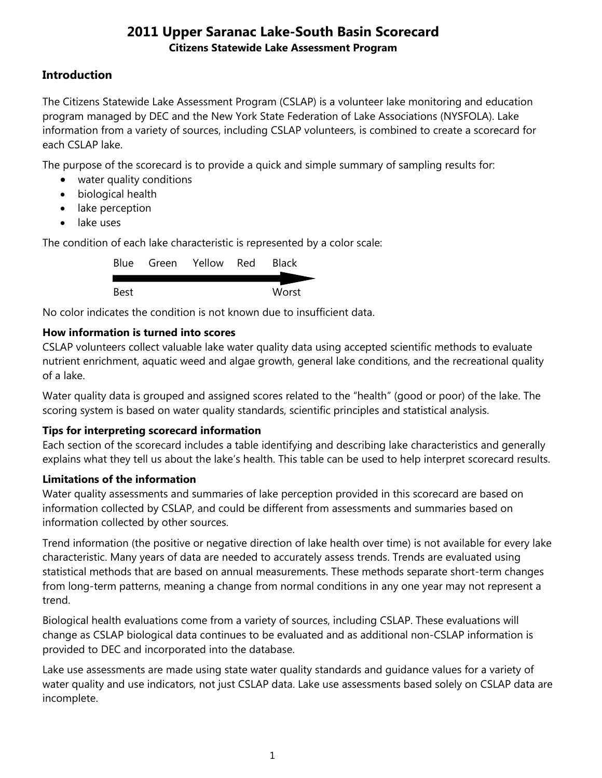## **Introduction**

The Citizens Statewide Lake Assessment Program (CSLAP) is a volunteer lake monitoring and education program managed by DEC and the New York State Federation of Lake Associations (NYSFOLA). Lake information from a variety of sources, including CSLAP volunteers, is combined to create a scorecard for each CSLAP lake.

The purpose of the scorecard is to provide a quick and simple summary of sampling results for:

- water quality conditions
- biological health
- lake perception
- lake uses

The condition of each lake characteristic is represented by a color scale:

|      | Blue Green Yellow Red | Black |
|------|-----------------------|-------|
| Best |                       | Worst |

No color indicates the condition is not known due to insufficient data.

## **How information is turned into scores**

CSLAP volunteers collect valuable lake water quality data using accepted scientific methods to evaluate nutrient enrichment, aquatic weed and algae growth, general lake conditions, and the recreational quality of a lake.

Water quality data is grouped and assigned scores related to the "health" (good or poor) of the lake. The scoring system is based on water quality standards, scientific principles and statistical analysis.

## **Tips for interpreting scorecard information**

Each section of the scorecard includes a table identifying and describing lake characteristics and generally explains what they tell us about the lake's health. This table can be used to help interpret scorecard results.

### **Limitations of the information**

Water quality assessments and summaries of lake perception provided in this scorecard are based on information collected by CSLAP, and could be different from assessments and summaries based on information collected by other sources.

Trend information (the positive or negative direction of lake health over time) is not available for every lake characteristic. Many years of data are needed to accurately assess trends. Trends are evaluated using statistical methods that are based on annual measurements. These methods separate short-term changes from long-term patterns, meaning a change from normal conditions in any one year may not represent a trend.

Biological health evaluations come from a variety of sources, including CSLAP. These evaluations will change as CSLAP biological data continues to be evaluated and as additional non-CSLAP information is provided to DEC and incorporated into the database.

Lake use assessments are made using state water quality standards and guidance values for a variety of water quality and use indicators, not just CSLAP data. Lake use assessments based solely on CSLAP data are incomplete.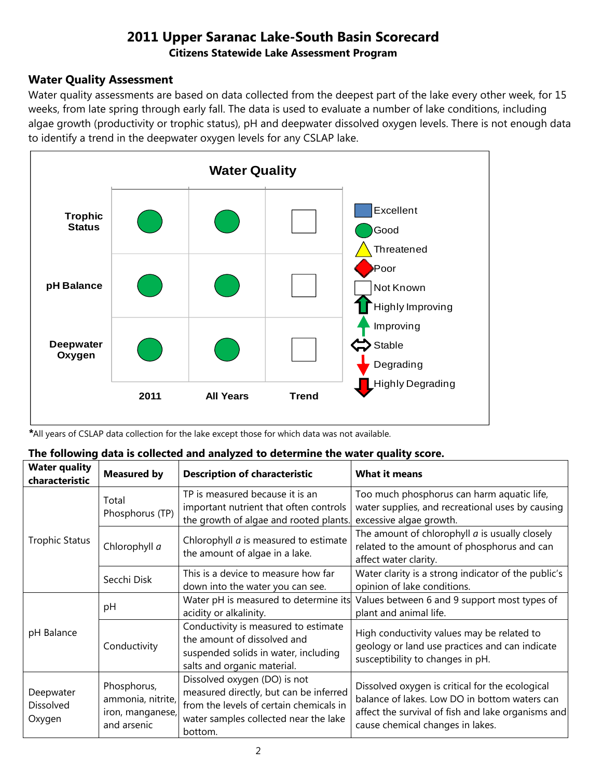#### **Water Quality Assessment**

Water quality assessments are based on data collected from the deepest part of the lake every other week, for 15 weeks, from late spring through early fall. The data is used to evaluate a number of lake conditions, including algae growth (productivity or trophic status), pH and deepwater dissolved oxygen levels. There is not enough data to identify a trend in the deepwater oxygen levels for any CSLAP lake.



*\**All years of CSLAP data collection for the lake except those for which data was not available.

| The following data is collected and analyzed to determine the water quality score. |  |
|------------------------------------------------------------------------------------|--|
|------------------------------------------------------------------------------------|--|

| <b>Water quality</b><br>characteristic  | <b>Measured by</b>                                                  | <b>Description of characteristic</b>                                                                                                                                  | <b>What it means</b>                                                                                                                                                                       |
|-----------------------------------------|---------------------------------------------------------------------|-----------------------------------------------------------------------------------------------------------------------------------------------------------------------|--------------------------------------------------------------------------------------------------------------------------------------------------------------------------------------------|
|                                         | Total<br>Phosphorus (TP)                                            | TP is measured because it is an<br>important nutrient that often controls<br>the growth of algae and rooted plants.                                                   | Too much phosphorus can harm aquatic life,<br>water supplies, and recreational uses by causing<br>excessive algae growth.                                                                  |
| <b>Trophic Status</b>                   | Chlorophyll a                                                       | Chlorophyll <i>a</i> is measured to estimate<br>the amount of algae in a lake.                                                                                        | The amount of chlorophyll $a$ is usually closely<br>related to the amount of phosphorus and can<br>affect water clarity.                                                                   |
|                                         | Secchi Disk                                                         | This is a device to measure how far<br>down into the water you can see.                                                                                               | Water clarity is a strong indicator of the public's<br>opinion of lake conditions.                                                                                                         |
|                                         | pH                                                                  | Water pH is measured to determine its<br>acidity or alkalinity.                                                                                                       | Values between 6 and 9 support most types of<br>plant and animal life.                                                                                                                     |
| pH Balance                              | Conductivity                                                        | Conductivity is measured to estimate<br>the amount of dissolved and<br>suspended solids in water, including<br>salts and organic material.                            | High conductivity values may be related to<br>geology or land use practices and can indicate<br>susceptibility to changes in pH.                                                           |
| Deepwater<br><b>Dissolved</b><br>Oxygen | Phosphorus,<br>ammonia, nitrite,<br>iron, manganese,<br>and arsenic | Dissolved oxygen (DO) is not<br>measured directly, but can be inferred<br>from the levels of certain chemicals in<br>water samples collected near the lake<br>bottom. | Dissolved oxygen is critical for the ecological<br>balance of lakes. Low DO in bottom waters can<br>affect the survival of fish and lake organisms and<br>cause chemical changes in lakes. |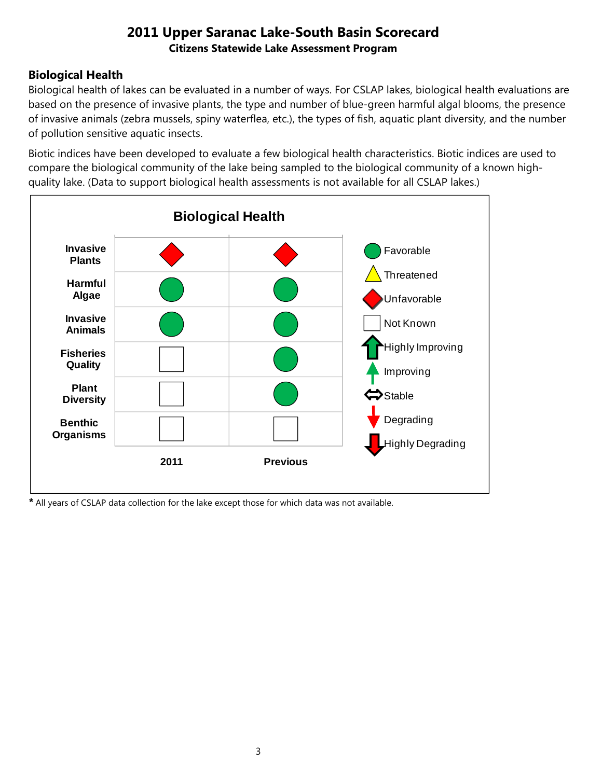## **Biological Health**

Biological health of lakes can be evaluated in a number of ways. For CSLAP lakes, biological health evaluations are based on the presence of invasive plants, the type and number of blue-green harmful algal blooms, the presence of invasive animals (zebra mussels, spiny waterflea, etc.), the types of fish, aquatic plant diversity, and the number of pollution sensitive aquatic insects.

Biotic indices have been developed to evaluate a few biological health characteristics. Biotic indices are used to compare the biological community of the lake being sampled to the biological community of a known highquality lake. (Data to support biological health assessments is not available for all CSLAP lakes.)



*\** All years of CSLAP data collection for the lake except those for which data was not available.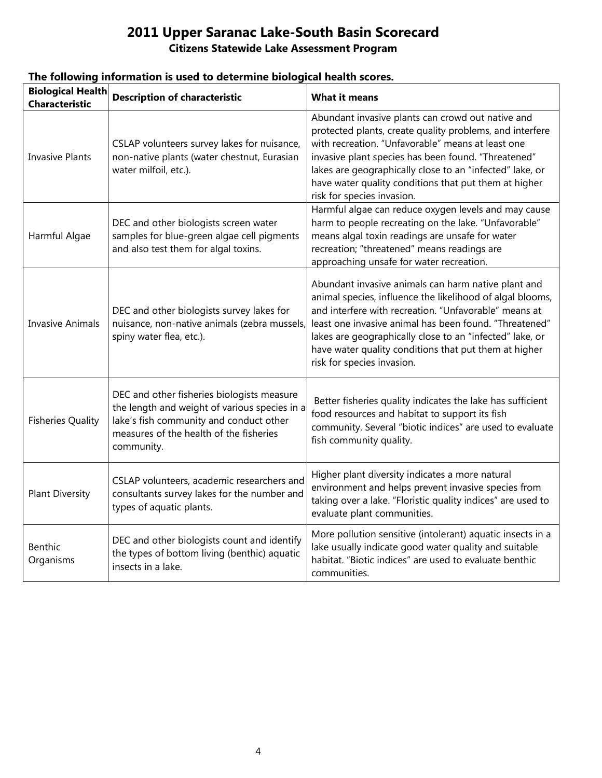# **2011 Upper Saranac Lake-South Basin Scorecard**

### **Citizens Statewide Lake Assessment Program**

| <b>Biological Health</b><br><b>Characteristic</b> | <b>Description of characteristic</b>                                                                                                                                                            | <b>What it means</b>                                                                                                                                                                                                                                                                                                                                                                   |
|---------------------------------------------------|-------------------------------------------------------------------------------------------------------------------------------------------------------------------------------------------------|----------------------------------------------------------------------------------------------------------------------------------------------------------------------------------------------------------------------------------------------------------------------------------------------------------------------------------------------------------------------------------------|
| <b>Invasive Plants</b>                            | CSLAP volunteers survey lakes for nuisance,<br>non-native plants (water chestnut, Eurasian<br>water milfoil, etc.).                                                                             | Abundant invasive plants can crowd out native and<br>protected plants, create quality problems, and interfere<br>with recreation. "Unfavorable" means at least one<br>invasive plant species has been found. "Threatened"<br>lakes are geographically close to an "infected" lake, or<br>have water quality conditions that put them at higher<br>risk for species invasion.           |
| Harmful Algae                                     | DEC and other biologists screen water<br>samples for blue-green algae cell pigments<br>and also test them for algal toxins.                                                                     | Harmful algae can reduce oxygen levels and may cause<br>harm to people recreating on the lake. "Unfavorable"<br>means algal toxin readings are unsafe for water<br>recreation; "threatened" means readings are<br>approaching unsafe for water recreation.                                                                                                                             |
| <b>Invasive Animals</b>                           | DEC and other biologists survey lakes for<br>nuisance, non-native animals (zebra mussels,<br>spiny water flea, etc.).                                                                           | Abundant invasive animals can harm native plant and<br>animal species, influence the likelihood of algal blooms,<br>and interfere with recreation. "Unfavorable" means at<br>least one invasive animal has been found. "Threatened"<br>lakes are geographically close to an "infected" lake, or<br>have water quality conditions that put them at higher<br>risk for species invasion. |
| <b>Fisheries Quality</b>                          | DEC and other fisheries biologists measure<br>the length and weight of various species in a<br>lake's fish community and conduct other<br>measures of the health of the fisheries<br>community. | Better fisheries quality indicates the lake has sufficient<br>food resources and habitat to support its fish<br>community. Several "biotic indices" are used to evaluate<br>fish community quality.                                                                                                                                                                                    |
| <b>Plant Diversity</b>                            | CSLAP volunteers, academic researchers and<br>consultants survey lakes for the number and<br>types of aquatic plants.                                                                           | Higher plant diversity indicates a more natural<br>environment and helps prevent invasive species from<br>taking over a lake. "Floristic quality indices" are used to<br>evaluate plant communities.                                                                                                                                                                                   |
| <b>Benthic</b><br>Organisms                       | DEC and other biologists count and identify<br>the types of bottom living (benthic) aquatic<br>insects in a lake.                                                                               | More pollution sensitive (intolerant) aquatic insects in a<br>lake usually indicate good water quality and suitable<br>habitat. "Biotic indices" are used to evaluate benthic<br>communities.                                                                                                                                                                                          |

### **The following information is used to determine biological health scores.**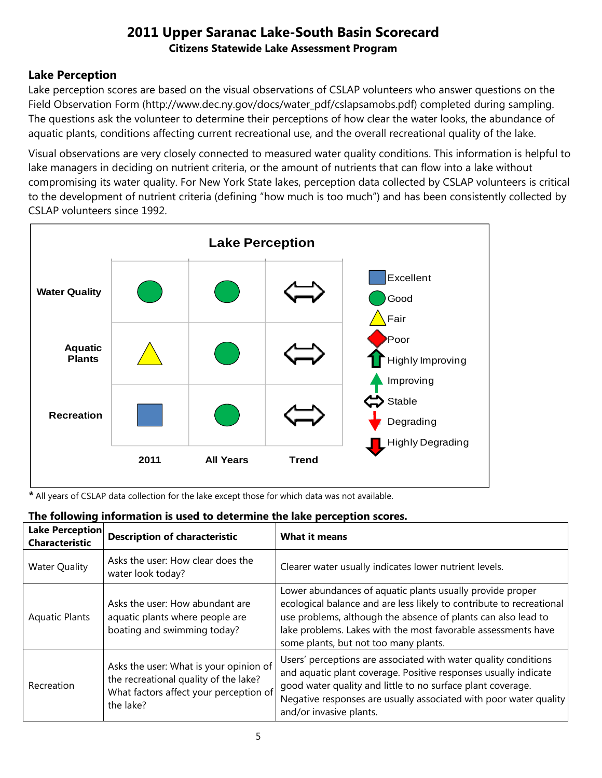## **Lake Perception**

Lake perception scores are based on the visual observations of CSLAP volunteers who answer questions on the Field Observation Form (http://www.dec.ny.gov/docs/water\_pdf/cslapsamobs.pdf) completed during sampling. The questions ask the volunteer to determine their perceptions of how clear the water looks, the abundance of aquatic plants, conditions affecting current recreational use, and the overall recreational quality of the lake.

Visual observations are very closely connected to measured water quality conditions. This information is helpful to lake managers in deciding on nutrient criteria, or the amount of nutrients that can flow into a lake without compromising its water quality. For New York State lakes, perception data collected by CSLAP volunteers is critical to the development of nutrient criteria (defining "how much is too much") and has been consistently collected by CSLAP volunteers since 1992.



*\** All years of CSLAP data collection for the lake except those for which data was not available.

| Lake Perception<br><b>Characteristic</b> | <b>Description of characteristic</b>                                                                                                   | <b>What it means</b>                                                                                                                                                                                                                                                                                         |
|------------------------------------------|----------------------------------------------------------------------------------------------------------------------------------------|--------------------------------------------------------------------------------------------------------------------------------------------------------------------------------------------------------------------------------------------------------------------------------------------------------------|
| <b>Water Quality</b>                     | Asks the user: How clear does the<br>water look today?                                                                                 | Clearer water usually indicates lower nutrient levels.                                                                                                                                                                                                                                                       |
| <b>Aquatic Plants</b>                    | Asks the user: How abundant are<br>aquatic plants where people are<br>boating and swimming today?                                      | Lower abundances of aquatic plants usually provide proper<br>ecological balance and are less likely to contribute to recreational<br>use problems, although the absence of plants can also lead to<br>lake problems. Lakes with the most favorable assessments have<br>some plants, but not too many plants. |
| Recreation                               | Asks the user: What is your opinion of<br>the recreational quality of the lake?<br>What factors affect your perception of<br>the lake? | Users' perceptions are associated with water quality conditions<br>and aquatic plant coverage. Positive responses usually indicate<br>good water quality and little to no surface plant coverage.<br>Negative responses are usually associated with poor water quality<br>and/or invasive plants.            |

### **The following information is used to determine the lake perception scores.**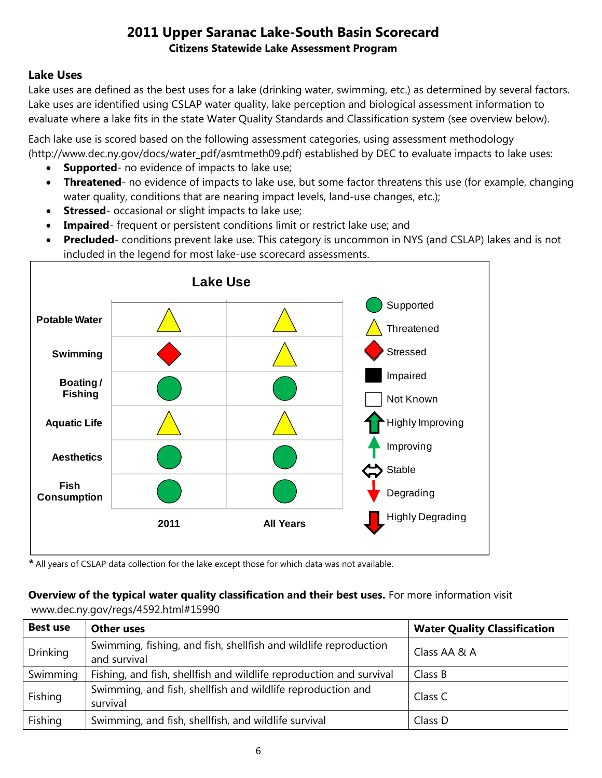### **Lake Uses**

Lake uses are defined as the best uses for a lake (drinking water, swimming, etc.) as determined by several factors. Lake uses are identified using CSLAP water quality, lake perception and biological assessment information to evaluate where a lake fits in the state Water Quality Standards and Classification system (see overview below).

Each lake use is scored based on the following assessment categories, using assessment methodology (http://www.dec.ny.gov/docs/water\_pdf/asmtmeth09.pdf) established by DEC to evaluate impacts to lake uses:

- **Supported** no evidence of impacts to lake use;
- **Threatened** no evidence of impacts to lake use, but some factor threatens this use (for example, changing water quality, conditions that are nearing impact levels, land-use changes, etc.);
- **Stressed** occasional or slight impacts to lake use;
- **Impaired** frequent or persistent conditions limit or restrict lake use; and
- **Precluded** conditions prevent lake use. This category is uncommon in NYS (and CSLAP) lakes and is not included in the legend for most lake-use scorecard assessments.



*\** All years of CSLAP data collection for the lake except those for which data was not available.

#### **Overview of the typical water quality classification and their best uses.** For more information visit www.dec.ny.gov/regs/4592.html#15990

| <b>Best use</b> | <b>Other uses</b>                                                                | <b>Water Quality Classification</b> |
|-----------------|----------------------------------------------------------------------------------|-------------------------------------|
| <b>Drinking</b> | Swimming, fishing, and fish, shellfish and wildlife reproduction<br>and survival | Class AA & A                        |
| Swimming        | Fishing, and fish, shellfish and wildlife reproduction and survival              | Class B                             |
| Fishing         | Swimming, and fish, shellfish and wildlife reproduction and<br>survival          | Class C                             |
| Fishing         | Swimming, and fish, shellfish, and wildlife survival                             | Class D                             |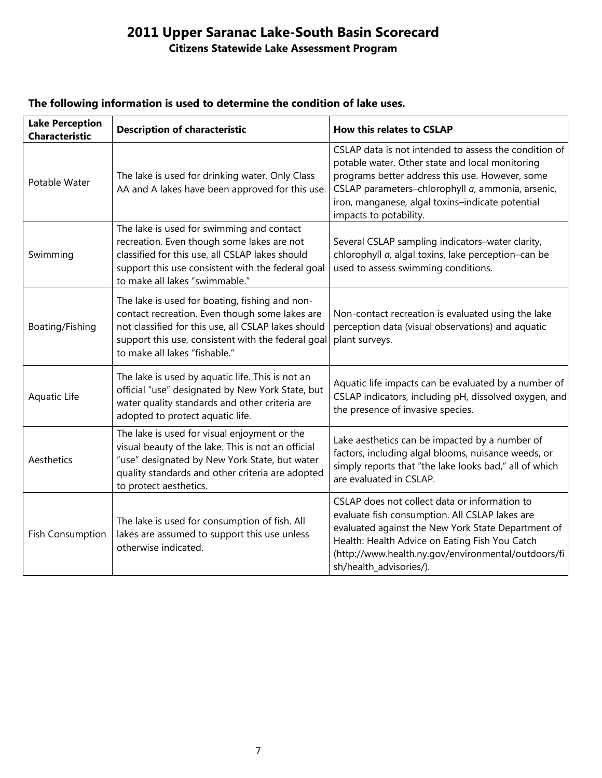# **2011 Upper Saranac Lake-South Basin Scorecard**

## **Citizens Statewide Lake Assessment Program**

| <b>Lake Perception</b><br><b>Characteristic</b> | <b>Description of characteristic</b>                                                                                                                                                                                                           | <b>How this relates to CSLAP</b>                                                                                                                                                                                                                                                               |
|-------------------------------------------------|------------------------------------------------------------------------------------------------------------------------------------------------------------------------------------------------------------------------------------------------|------------------------------------------------------------------------------------------------------------------------------------------------------------------------------------------------------------------------------------------------------------------------------------------------|
| Potable Water                                   | The lake is used for drinking water. Only Class<br>AA and A lakes have been approved for this use.                                                                                                                                             | CSLAP data is not intended to assess the condition of<br>potable water. Other state and local monitoring<br>programs better address this use. However, some<br>CSLAP parameters-chlorophyll a, ammonia, arsenic,<br>iron, manganese, algal toxins-indicate potential<br>impacts to potability. |
| Swimming                                        | The lake is used for swimming and contact<br>recreation. Even though some lakes are not<br>classified for this use, all CSLAP lakes should<br>support this use consistent with the federal goal<br>to make all lakes "swimmable."              | Several CSLAP sampling indicators-water clarity,<br>chlorophyll a, algal toxins, lake perception-can be<br>used to assess swimming conditions.                                                                                                                                                 |
| Boating/Fishing                                 | The lake is used for boating, fishing and non-<br>contact recreation. Even though some lakes are<br>not classified for this use, all CSLAP lakes should<br>support this use, consistent with the federal goal<br>to make all lakes "fishable." | Non-contact recreation is evaluated using the lake<br>perception data (visual observations) and aquatic<br>plant surveys.                                                                                                                                                                      |
| Aquatic Life                                    | The lake is used by aquatic life. This is not an<br>official "use" designated by New York State, but<br>water quality standards and other criteria are<br>adopted to protect aquatic life.                                                     | Aquatic life impacts can be evaluated by a number of<br>CSLAP indicators, including pH, dissolved oxygen, and<br>the presence of invasive species.                                                                                                                                             |
| Aesthetics                                      | The lake is used for visual enjoyment or the<br>visual beauty of the lake. This is not an official<br>"use" designated by New York State, but water<br>quality standards and other criteria are adopted<br>to protect aesthetics.              | Lake aesthetics can be impacted by a number of<br>factors, including algal blooms, nuisance weeds, or<br>simply reports that "the lake looks bad," all of which<br>are evaluated in CSLAP.                                                                                                     |
| <b>Fish Consumption</b>                         | The lake is used for consumption of fish. All<br>lakes are assumed to support this use unless<br>otherwise indicated.                                                                                                                          | CSLAP does not collect data or information to<br>evaluate fish consumption. All CSLAP lakes are<br>evaluated against the New York State Department of<br>Health: Health Advice on Eating Fish You Catch<br>(http://www.health.ny.gov/environmental/outdoors/fi<br>sh/health_advisories/).      |

#### **The following information is used to determine the condition of lake uses.**